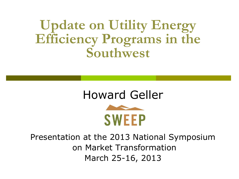**Update on Utility Energy Efficiency Programs in the Southwest**

#### Howard Geller



Presentation at the 2013 National Symposium on Market Transformation March 25-16, 2013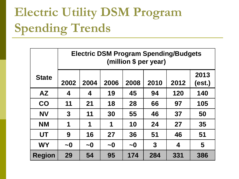# **Electric Utility DSM Program Spending Trends**

|               | <b>Electric DSM Program Spending/Budgets</b><br>(million \$ per year) |             |             |             |      |      |                |
|---------------|-----------------------------------------------------------------------|-------------|-------------|-------------|------|------|----------------|
| <b>State</b>  | 2002                                                                  | 2004        | 2006        | 2008        | 2010 | 2012 | 2013<br>(est.) |
| <b>AZ</b>     | 4                                                                     | 4           | 19          | 45          | 94   | 120  | 140            |
| CO            | 11                                                                    | 21          | 18          | 28          | 66   | 97   | 105            |
| <b>NV</b>     | $\mathbf{3}$                                                          | 11          | 30          | 55          | 46   | 37   | 50             |
| ΝM            | 1                                                                     | 1           | 1           | 10          | 24   | 27   | 35             |
| <b>UT</b>     | 9                                                                     | 16          | 27          | 36          | 51   | 46   | 51             |
| <b>WY</b>     | $\sim 0$                                                              | $\sim\!\!0$ | $\sim\!\!0$ | $\sim\!\!0$ | 3    | 4    | 5              |
| <b>Region</b> | 29                                                                    | 54          | 95          | 174         | 284  | 331  | 386            |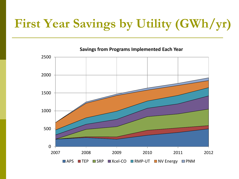# **First Year Savings by Utility (GWh/yr)**

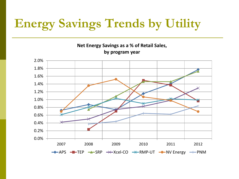## **Energy Savings Trends by Utility**

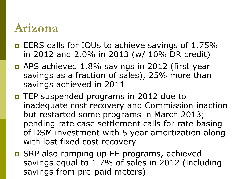#### **Arizona**

- **EXACT** EERS calls for IOUs to achieve savings of 1.75% in 2012 and 2.0% in 2013 (w/ 10% DR credit)
- APS achieved 1.8% savings in 2012 (first year savings as a fraction of sales), 25% more than savings achieved in 2011
- □ TEP suspended programs in 2012 due to inadequate cost recovery and Commission inaction but restarted some programs in March 2013; pending rate case settlement calls for rate basing of DSM investment with 5 year amortization along with lost fixed cost recovery
- SRP also ramping up EE programs, achieved savings equal to 1.7% of sales in 2012 (including savings from pre-paid meters)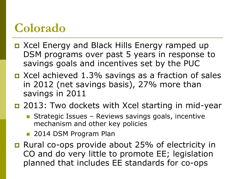## **Colorado**

- Xcel Energy and Black Hills Energy ramped up DSM programs over past 5 years in response to savings goals and incentives set by the PUC
- Xcel achieved 1.3% savings as a fraction of sales in 2012 (net savings basis), 27% more than savings in 2011
- □ 2013: Two dockets with Xcel starting in mid-year
	- **Strategic Issues Reviews savings goals, incentive** mechanism and other key policies
	- **2014 DSM Program Plan**
- Rural co-ops provide about 25% of electricity in CO and do very little to promote EE; legislation planned that includes EE standards for co-ops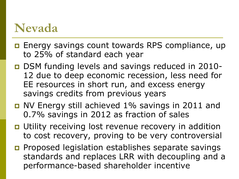#### **Nevada**

- **Energy savings count towards RPS compliance, up** to 25% of standard each year
- DSM funding levels and savings reduced in 2010- 12 due to deep economic recession, less need for EE resources in short run, and excess energy savings credits from previous years
- **D** NV Energy still achieved 1% savings in 2011 and 0.7% savings in 2012 as fraction of sales
- **D** Utility receiving lost revenue recovery in addition to cost recovery, proving to be very controversial
- **Proposed legislation establishes separate savings** standards and replaces LRR with decoupling and a performance-based shareholder incentive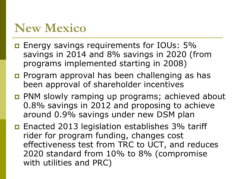### **New Mexico**

- **Energy savings requirements for IOUs: 5%** savings in 2014 and 8% savings in 2020 (from programs implemented starting in 2008)
- **Program approval has been challenging as has** been approval of shareholder incentives
- **PNM slowly ramping up programs; achieved about** 0.8% savings in 2012 and proposing to achieve around 0.9% savings under new DSM plan
- Enacted 2013 legislation establishes 3% tariff rider for program funding, changes cost effectiveness test from TRC to UCT, and reduces 2020 standard from 10% to 8% (compromise with utilities and PRC)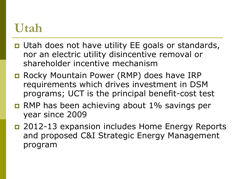### **Utah**

- □ Utah does not have utility EE goals or standards, nor an electric utility disincentive removal or shareholder incentive mechanism
- **D** Rocky Mountain Power (RMP) does have IRP requirements which drives investment in DSM programs; UCT is the principal benefit-cost test
- **D** RMP has been achieving about 1% savings per year since 2009
- □ 2012-13 expansion includes Home Energy Reports and proposed C&I Strategic Energy Management program